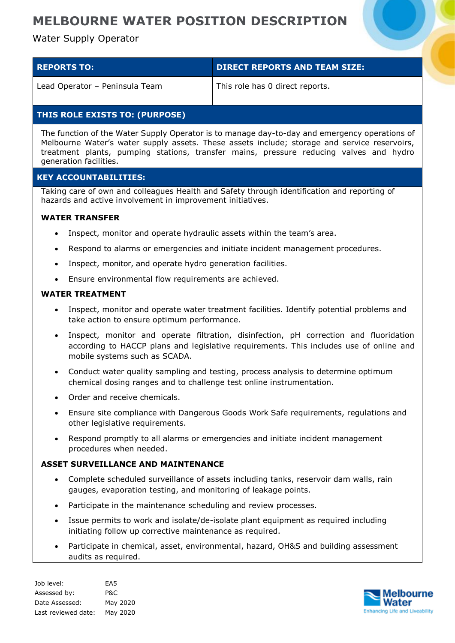# **MELBOURNE WATER POSITION DESCRIPTION**

## Water Supply Operator

| <b>REPORTS TO:</b>             | DIRECT REPORTS AND TEAM SIZE:   |
|--------------------------------|---------------------------------|
| Lead Operator - Peninsula Team | This role has 0 direct reports. |

## **THIS ROLE EXISTS TO: (PURPOSE)**

The function of the Water Supply Operator is to manage day-to-day and emergency operations of Melbourne Water's water supply assets. These assets include; storage and service reservoirs, treatment plants, pumping stations, transfer mains, pressure reducing valves and hydro generation facilities.

### **KEY ACCOUNTABILITIES:**

Taking care of own and colleagues Health and Safety through identification and reporting of hazards and active involvement in improvement initiatives.

### **WATER TRANSFER**

- Inspect, monitor and operate hydraulic assets within the team's area.
- Respond to alarms or emergencies and initiate incident management procedures.
- Inspect, monitor, and operate hydro generation facilities.
- Ensure environmental flow requirements are achieved.

#### **WATER TREATMENT**

- Inspect, monitor and operate water treatment facilities. Identify potential problems and take action to ensure optimum performance.
- Inspect, monitor and operate filtration, disinfection, pH correction and fluoridation according to HACCP plans and legislative requirements. This includes use of online and mobile systems such as SCADA.
- Conduct water quality sampling and testing, process analysis to determine optimum chemical dosing ranges and to challenge test online instrumentation.
- Order and receive chemicals.
- Ensure site compliance with Dangerous Goods Work Safe requirements, regulations and other legislative requirements.
- Respond promptly to all alarms or emergencies and initiate incident management procedures when needed.

### **ASSET SURVEILLANCE AND MAINTENANCE**

- Complete scheduled surveillance of assets including tanks, reservoir dam walls, rain gauges, evaporation testing, and monitoring of leakage points.
- Participate in the maintenance scheduling and review processes.
- Issue permits to work and isolate/de-isolate plant equipment as required including initiating follow up corrective maintenance as required.
- Participate in chemical, asset, environmental, hazard, OH&S and building assessment audits as required.

Job level: EA5 Assessed by: P&C Date Assessed: May 2020 Last reviewed date: May 2020

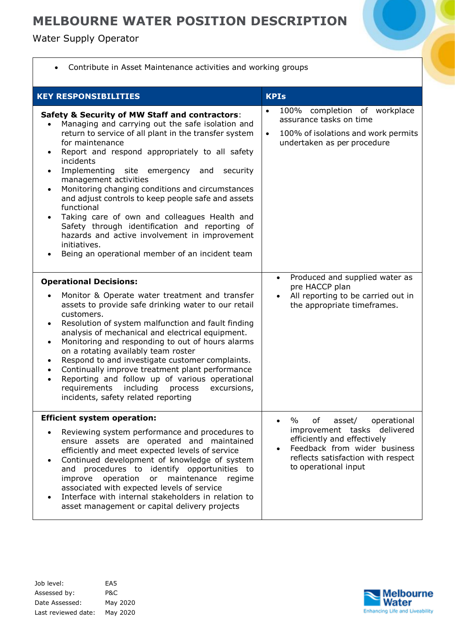# **MELBOURNE WATER POSITION DESCRIPTION**

Water Supply Operator

Г

| Contribute in Asset Maintenance activities and working groups                                                                                                                                                                                                                                                                                                                                                                                                                                                                                                                                                                                                                                    |                                                                                                                                                                                                        |  |
|--------------------------------------------------------------------------------------------------------------------------------------------------------------------------------------------------------------------------------------------------------------------------------------------------------------------------------------------------------------------------------------------------------------------------------------------------------------------------------------------------------------------------------------------------------------------------------------------------------------------------------------------------------------------------------------------------|--------------------------------------------------------------------------------------------------------------------------------------------------------------------------------------------------------|--|
| <b>KEY RESPONSIBILITIES</b>                                                                                                                                                                                                                                                                                                                                                                                                                                                                                                                                                                                                                                                                      | <b>KPIs</b>                                                                                                                                                                                            |  |
| <b>Safety &amp; Security of MW Staff and contractors:</b><br>Managing and carrying out the safe isolation and<br>return to service of all plant in the transfer system<br>for maintenance<br>Report and respond appropriately to all safety<br>incidents<br>Implementing site emergency and<br>security<br>٠<br>management activities<br>Monitoring changing conditions and circumstances<br>$\bullet$<br>and adjust controls to keep people safe and assets<br>functional<br>Taking care of own and colleagues Health and<br>Safety through identification and reporting of<br>hazards and active involvement in improvement<br>initiatives.<br>Being an operational member of an incident team | 100% completion of workplace<br>$\bullet$<br>assurance tasks on time<br>100% of isolations and work permits<br>$\bullet$<br>undertaken as per procedure<br>Produced and supplied water as<br>$\bullet$ |  |
| <b>Operational Decisions:</b><br>Monitor & Operate water treatment and transfer<br>assets to provide safe drinking water to our retail<br>customers.<br>Resolution of system malfunction and fault finding<br>$\bullet$<br>analysis of mechanical and electrical equipment.<br>Monitoring and responding to out of hours alarms<br>$\bullet$<br>on a rotating availably team roster<br>Respond to and investigate customer complaints.<br>$\bullet$<br>Continually improve treatment plant performance<br>$\bullet$<br>Reporting and follow up of various operational<br>$\bullet$<br>including<br>requirements<br>excursions,<br>process<br>incidents, safety related reporting                 | pre HACCP plan<br>All reporting to be carried out in<br>$\bullet$<br>the appropriate timeframes.                                                                                                       |  |
| <b>Efficient system operation:</b><br>Reviewing system performance and procedures to<br>ensure assets are operated and maintained<br>efficiently and meet expected levels of service<br>Continued development of knowledge of system<br>procedures to identify opportunities to<br>and<br>operation<br>maintenance<br>improve<br>or<br>regime<br>associated with expected levels of service<br>Interface with internal stakeholders in relation to<br>asset management or capital delivery projects                                                                                                                                                                                              | $\%$<br>of<br>asset/<br>operational<br>improvement tasks delivered<br>efficiently and effectively<br>Feedback from wider business<br>reflects satisfaction with respect<br>to operational input        |  |

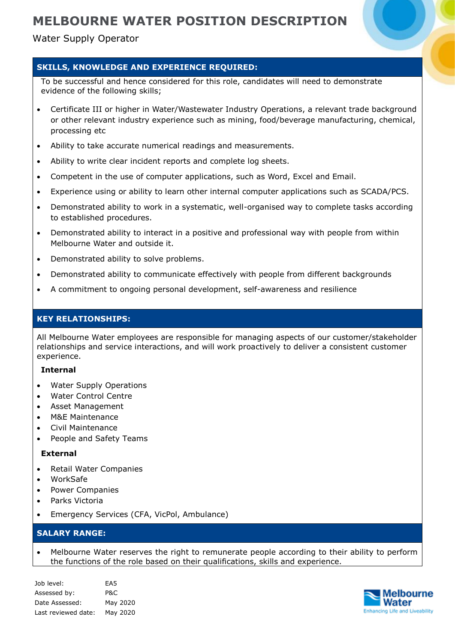Water Supply Operator

## **SKILLS, KNOWLEDGE AND EXPERIENCE REQUIRED:**

To be successful and hence considered for this role, candidates will need to demonstrate evidence of the following skills;

- Certificate III or higher in Water/Wastewater Industry Operations, a relevant trade background or other relevant industry experience such as mining, food/beverage manufacturing, chemical, processing etc
- Ability to take accurate numerical readings and measurements.
- Ability to write clear incident reports and complete log sheets.
- Competent in the use of computer applications, such as Word, Excel and Email.
- Experience using or ability to learn other internal computer applications such as SCADA/PCS.
- Demonstrated ability to work in a systematic, well-organised way to complete tasks according to established procedures.
- Demonstrated ability to interact in a positive and professional way with people from within Melbourne Water and outside it.
- Demonstrated ability to solve problems.
- Demonstrated ability to communicate effectively with people from different backgrounds
- A commitment to ongoing personal development, self-awareness and resilience

### **KEY RELATIONSHIPS:**

All Melbourne Water employees are responsible for managing aspects of our customer/stakeholder relationships and service interactions, and will work proactively to deliver a consistent customer experience.

#### **Internal**

- Water Supply Operations
- Water Control Centre
- Asset Management
- M&E Maintenance
- Civil Maintenance
- People and Safety Teams

#### **External**

- Retail Water Companies
- WorkSafe
- Power Companies
- Parks Victoria
- Emergency Services (CFA, VicPol, Ambulance)

## **SALARY RANGE:**

 Melbourne Water reserves the right to remunerate people according to their ability to perform the functions of the role based on their qualifications, skills and experience.

| Job level:          | EA5      |
|---------------------|----------|
| Assessed by:        | P&C      |
| Date Assessed:      | May 2020 |
| Last reviewed date: | May 2020 |